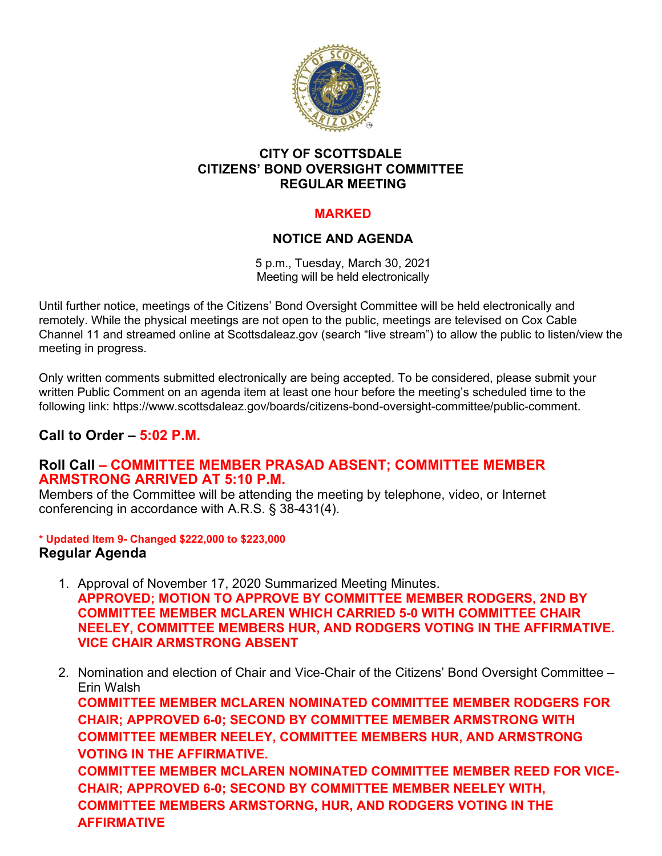

### **CITY OF SCOTTSDALE CITIZENS' BOND OVERSIGHT COMMITTEE REGULAR MEETING**

# **MARKED**

# **NOTICE AND AGENDA**

5 p.m., Tuesday, March 30, 2021 Meeting will be held electronically

Until further notice, meetings of the Citizens' Bond Oversight Committee will be held electronically and remotely. While the physical meetings are not open to the public, meetings are televised on Cox Cable Channel 11 and streamed online at Scottsdaleaz.gov (search "live stream") to allow the public to listen/view the meeting in progress.

Only written comments submitted electronically are being accepted. To be considered, please submit your written Public Comment on an agenda item at least one hour before the meeting's scheduled time to the following link: https://www.scottsdaleaz.gov/boards/citizens-bond-oversight-committee/public-comment.

# **Call to Order – 5:02 P.M.**

### **Roll Call – COMMITTEE MEMBER PRASAD ABSENT; COMMITTEE MEMBER ARMSTRONG ARRIVED AT 5:10 P.M.**

Members of the Committee will be attending the meeting by telephone, video, or Internet conferencing in accordance with A.R.S. § 38-431(4).

#### **\* Updated Item 9- Changed \$222,000 to \$223,000 Regular Agenda**

- 1. Approval of November 17, 2020 Summarized Meeting Minutes. **APPROVED; MOTION TO APPROVE BY COMMITTEE MEMBER RODGERS, 2ND BY COMMITTEE MEMBER MCLAREN WHICH CARRIED 5-0 WITH COMMITTEE CHAIR NEELEY, COMMITTEE MEMBERS HUR, AND RODGERS VOTING IN THE AFFIRMATIVE. VICE CHAIR ARMSTRONG ABSENT**
- 2. Nomination and election of Chair and Vice-Chair of the Citizens' Bond Oversight Committee Erin Walsh **COMMITTEE MEMBER MCLAREN NOMINATED COMMITTEE MEMBER RODGERS FOR CHAIR; APPROVED 6-0; SECOND BY COMMITTEE MEMBER ARMSTRONG WITH COMMITTEE MEMBER NEELEY, COMMITTEE MEMBERS HUR, AND ARMSTRONG VOTING IN THE AFFIRMATIVE. COMMITTEE MEMBER MCLAREN NOMINATED COMMITTEE MEMBER REED FOR VICE-CHAIR; APPROVED 6-0; SECOND BY COMMITTEE MEMBER NEELEY WITH, COMMITTEE MEMBERS ARMSTORNG, HUR, AND RODGERS VOTING IN THE AFFIRMATIVE**